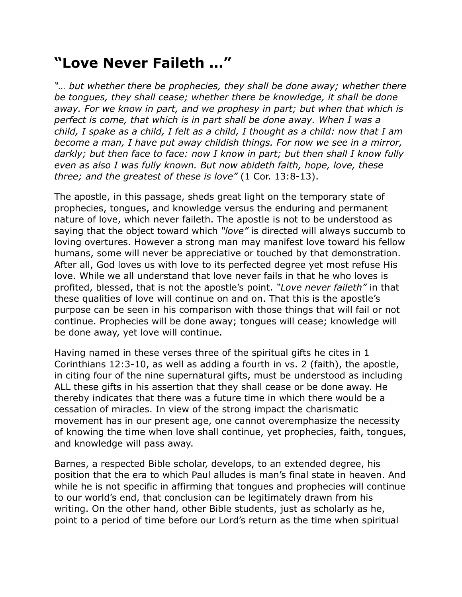## **"Love Never Faileth …"**

"... but whether there be prophecies, they shall be done away; whether there *be tongues, they shall cease; whether there be knowledge, it shall be done away. For we know in part, and we prophesy in part; but when that which is*  perfect is come, that which is in part shall be done away. When I was a *child, I spake as a child, I felt as a child, I thought as a child: now that I am become a man, I have put away childish things. For now we see in a mirror, darkly; but then face to face: now I know in part; but then shall I know fully even as also I was fully known. But now abideth faith, hope, love, these three; and the greatest of these is love"* (1 Cor. 13:8-13).

The apostle, in this passage, sheds great light on the temporary state of prophecies, tongues, and knowledge versus the enduring and permanent nature of love, which never faileth. The apostle is not to be understood as saying that the object toward which *"love"* is directed will always succumb to loving overtures. However a strong man may manifest love toward his fellow humans, some will never be appreciative or touched by that demonstration. After all, God loves us with love to its perfected degree yet most refuse His love. While we all understand that love never fails in that he who loves is profited, blessed, that is not the apostle's point. *"Love never faileth"* in that these qualities of love will continue on and on. That this is the apostle's purpose can be seen in his comparison with those things that will fail or not continue. Prophecies will be done away; tongues will cease; knowledge will be done away, yet love will continue.

Having named in these verses three of the spiritual gifts he cites in 1 Corinthians 12:3-10, as well as adding a fourth in vs. 2 (faith), the apostle, in citing four of the nine supernatural gifts, must be understood as including ALL these gifts in his assertion that they shall cease or be done away. He thereby indicates that there was a future time in which there would be a cessation of miracles. In view of the strong impact the charismatic movement has in our present age, one cannot overemphasize the necessity of knowing the time when love shall continue, yet prophecies, faith, tongues, and knowledge will pass away.

Barnes, a respected Bible scholar, develops, to an extended degree, his position that the era to which Paul alludes is man's final state in heaven. And while he is not specific in affirming that tongues and prophecies will continue to our world's end, that conclusion can be legitimately drawn from his writing. On the other hand, other Bible students, just as scholarly as he, point to a period of time before our Lord's return as the time when spiritual